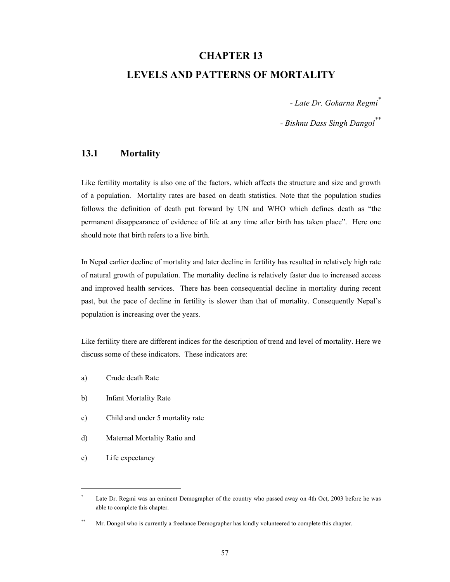# **CHAPTER 13 LEVELS AND PATTERNS OF MORTALITY**

*- Late Dr. Gokarna Regmi\**

*- Bishnu Dass Singh Dangol\*\**

### **13.1 Mortality**

Like fertility mortality is also one of the factors, which affects the structure and size and growth of a population. Mortality rates are based on death statistics. Note that the population studies follows the definition of death put forward by UN and WHO which defines death as "the permanent disappearance of evidence of life at any time after birth has taken place". Here one should note that birth refers to a live birth.

In Nepal earlier decline of mortality and later decline in fertility has resulted in relatively high rate of natural growth of population. The mortality decline is relatively faster due to increased access and improved health services. There has been consequential decline in mortality during recent past, but the pace of decline in fertility is slower than that of mortality. Consequently Nepal's population is increasing over the years.

Like fertility there are different indices for the description of trend and level of mortality. Here we discuss some of these indicators. These indicators are:

- a) Crude death Rate
- b) Infant Mortality Rate
- c) Child and under 5 mortality rate
- d) Maternal Mortality Ratio and
- e) Life expectancy

 $\overline{a}$ 

<sup>\*</sup> Late Dr. Regmi was an eminent Demographer of the country who passed away on 4th Oct, 2003 before he was able to complete this chapter.

<sup>\*\*</sup> Mr. Dongol who is currently a freelance Demographer has kindly volunteered to complete this chapter.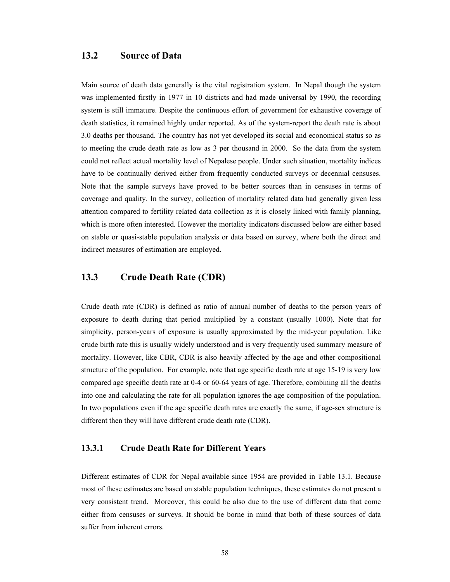#### **13.2 Source of Data**

Main source of death data generally is the vital registration system. In Nepal though the system was implemented firstly in 1977 in 10 districts and had made universal by 1990, the recording system is still immature. Despite the continuous effort of government for exhaustive coverage of death statistics, it remained highly under reported. As of the system-report the death rate is about 3.0 deaths per thousand. The country has not yet developed its social and economical status so as to meeting the crude death rate as low as 3 per thousand in 2000. So the data from the system could not reflect actual mortality level of Nepalese people. Under such situation, mortality indices have to be continually derived either from frequently conducted surveys or decennial censuses. Note that the sample surveys have proved to be better sources than in censuses in terms of coverage and quality. In the survey, collection of mortality related data had generally given less attention compared to fertility related data collection as it is closely linked with family planning, which is more often interested. However the mortality indicators discussed below are either based on stable or quasi-stable population analysis or data based on survey, where both the direct and indirect measures of estimation are employed.

#### **13.3 Crude Death Rate (CDR)**

Crude death rate (CDR) is defined as ratio of annual number of deaths to the person years of exposure to death during that period multiplied by a constant (usually 1000). Note that for simplicity, person-years of exposure is usually approximated by the mid-year population. Like crude birth rate this is usually widely understood and is very frequently used summary measure of mortality. However, like CBR, CDR is also heavily affected by the age and other compositional structure of the population. For example, note that age specific death rate at age 15-19 is very low compared age specific death rate at 0-4 or 60-64 years of age. Therefore, combining all the deaths into one and calculating the rate for all population ignores the age composition of the population. In two populations even if the age specific death rates are exactly the same, if age-sex structure is different then they will have different crude death rate (CDR).

#### **13.3.1 Crude Death Rate for Different Years**

Different estimates of CDR for Nepal available since 1954 are provided in Table 13.1. Because most of these estimates are based on stable population techniques, these estimates do not present a very consistent trend. Moreover, this could be also due to the use of different data that come either from censuses or surveys. It should be borne in mind that both of these sources of data suffer from inherent errors.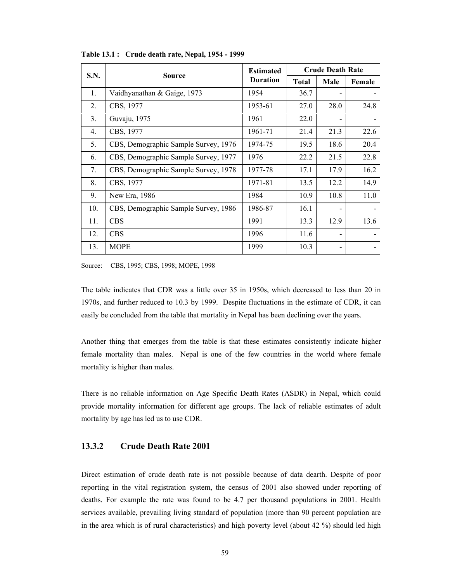|     |                                      | <b>Estimated</b> | <b>Crude Death Rate</b> |      |        |  |
|-----|--------------------------------------|------------------|-------------------------|------|--------|--|
|     | S.N.<br><b>Source</b>                |                  | <b>Total</b>            | Male | Female |  |
| 1.  | Vaidhyanathan & Gaige, 1973          | 1954             | 36.7                    |      |        |  |
| 2.  | CBS, 1977                            | 1953-61          | 27.0                    | 28.0 | 24.8   |  |
| 3.  | Guvaju, 1975                         | 1961             | 22.0                    |      |        |  |
| 4.  | CBS, 1977                            | 1961-71          | 21.4                    | 21.3 | 22.6   |  |
| 5.  | CBS, Demographic Sample Survey, 1976 | 1974-75          | 19.5                    | 18.6 | 20.4   |  |
| 6.  | CBS, Demographic Sample Survey, 1977 | 1976             | 22.2                    | 21.5 | 22.8   |  |
| 7.  | CBS, Demographic Sample Survey, 1978 | 1977-78          | 17.1                    | 17.9 | 16.2   |  |
| 8.  | CBS, 1977                            | 1971-81          | 13.5                    | 12.2 | 14.9   |  |
| 9.  | New Era, 1986                        | 1984             | 10.9                    | 10.8 | 11.0   |  |
| 10. | CBS, Demographic Sample Survey, 1986 | 1986-87          | 16.1                    |      |        |  |
| 11. | <b>CBS</b>                           | 1991             | 13.3                    | 12.9 | 13.6   |  |
| 12. | <b>CBS</b>                           | 1996             | 11.6                    |      |        |  |
| 13. | <b>MOPE</b>                          | 1999             | 10.3                    |      |        |  |

**Table 13.1 : Crude death rate, Nepal, 1954 - 1999** 

Source: CBS, 1995; CBS, 1998; MOPE, 1998

The table indicates that CDR was a little over 35 in 1950s, which decreased to less than 20 in 1970s, and further reduced to 10.3 by 1999. Despite fluctuations in the estimate of CDR, it can easily be concluded from the table that mortality in Nepal has been declining over the years.

Another thing that emerges from the table is that these estimates consistently indicate higher female mortality than males. Nepal is one of the few countries in the world where female mortality is higher than males.

There is no reliable information on Age Specific Death Rates (ASDR) in Nepal, which could provide mortality information for different age groups. The lack of reliable estimates of adult mortality by age has led us to use CDR.

#### **13.3.2 Crude Death Rate 2001**

Direct estimation of crude death rate is not possible because of data dearth. Despite of poor reporting in the vital registration system, the census of 2001 also showed under reporting of deaths. For example the rate was found to be 4.7 per thousand populations in 2001. Health services available, prevailing living standard of population (more than 90 percent population are in the area which is of rural characteristics) and high poverty level (about 42 %) should led high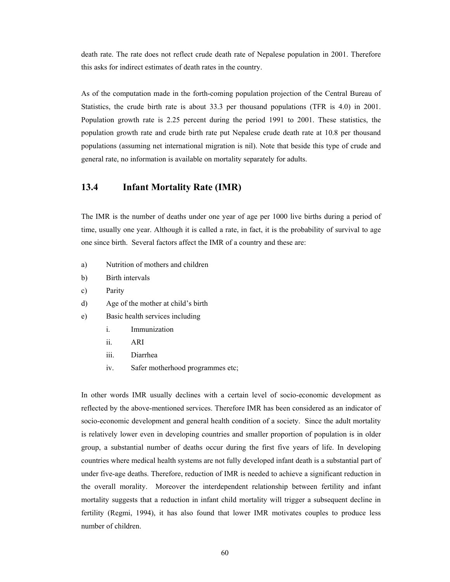death rate. The rate does not reflect crude death rate of Nepalese population in 2001. Therefore this asks for indirect estimates of death rates in the country.

As of the computation made in the forth-coming population projection of the Central Bureau of Statistics, the crude birth rate is about 33.3 per thousand populations (TFR is 4.0) in 2001. Population growth rate is 2.25 percent during the period 1991 to 2001. These statistics, the population growth rate and crude birth rate put Nepalese crude death rate at 10.8 per thousand populations (assuming net international migration is nil). Note that beside this type of crude and general rate, no information is available on mortality separately for adults.

#### **13.4 Infant Mortality Rate (IMR)**

The IMR is the number of deaths under one year of age per 1000 live births during a period of time, usually one year. Although it is called a rate, in fact, it is the probability of survival to age one since birth. Several factors affect the IMR of a country and these are:

- a) Nutrition of mothers and children
- b) Birth intervals
- c) Parity
- d) Age of the mother at child's birth
- e) Basic health services including
	- i. Immunization
	- ii. ARI
	- iii. Diarrhea
	- iv. Safer motherhood programmes etc;

In other words IMR usually declines with a certain level of socio-economic development as reflected by the above-mentioned services. Therefore IMR has been considered as an indicator of socio-economic development and general health condition of a society. Since the adult mortality is relatively lower even in developing countries and smaller proportion of population is in older group, a substantial number of deaths occur during the first five years of life. In developing countries where medical health systems are not fully developed infant death is a substantial part of under five-age deaths. Therefore, reduction of IMR is needed to achieve a significant reduction in the overall morality. Moreover the interdependent relationship between fertility and infant mortality suggests that a reduction in infant child mortality will trigger a subsequent decline in fertility (Regmi, 1994), it has also found that lower IMR motivates couples to produce less number of children.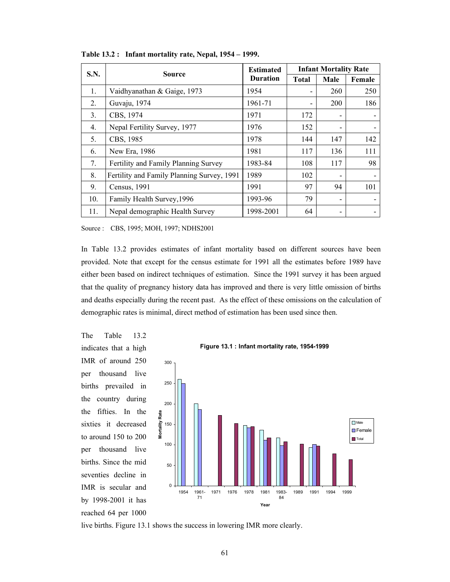| S.N. | <b>Source</b>                              | <b>Estimated</b> | <b>Infant Mortality Rate</b> |      |        |  |
|------|--------------------------------------------|------------------|------------------------------|------|--------|--|
|      |                                            | <b>Duration</b>  | <b>Total</b>                 | Male | Female |  |
| 1.   | Vaidhyanathan & Gaige, 1973                | 1954             |                              | 260  | 250    |  |
| 2.   | Guvaju, 1974                               | 1961-71          |                              | 200  | 186    |  |
| 3.   | CBS, 1974                                  | 1971             | 172                          |      |        |  |
| 4.   | Nepal Fertility Survey, 1977               | 1976             | 152                          |      |        |  |
| 5.   | CBS, 1985                                  | 1978             | 144                          | 147  | 142    |  |
| 6.   | New Era, 1986                              | 1981             | 117                          | 136  | 111    |  |
| 7.   | Fertility and Family Planning Survey       | 1983-84          | 108                          | 117  | 98     |  |
| 8.   | Fertility and Family Planning Survey, 1991 | 1989             | 102                          |      |        |  |
| 9.   | Census, 1991                               | 1991             | 97                           | 94   | 101    |  |
| 10.  | Family Health Survey, 1996                 | 1993-96          | 79                           |      |        |  |
| 11.  | Nepal demographic Health Survey            | 1998-2001        | 64                           |      |        |  |

**Table 13.2 : Infant mortality rate, Nepal, 1954 – 1999.** 

Source : CBS, 1995; MOH, 1997; NDHS2001

In Table 13.2 provides estimates of infant mortality based on different sources have been provided. Note that except for the census estimate for 1991 all the estimates before 1989 have either been based on indirect techniques of estimation. Since the 1991 survey it has been argued that the quality of pregnancy history data has improved and there is very little omission of births and deaths especially during the recent past. As the effect of these omissions on the calculation of demographic rates is minimal, direct method of estimation has been used since then.

The Table 13.2 indicates that a high IMR of around 250 per thousand live births prevailed in the country during the fifties. In the sixties it decreased to around 150 to 200 per thousand live births. Since the mid seventies decline in IMR is secular and by 1998-2001 it has reached 64 per 1000





live births. Figure 13.1 shows the success in lowering IMR more clearly.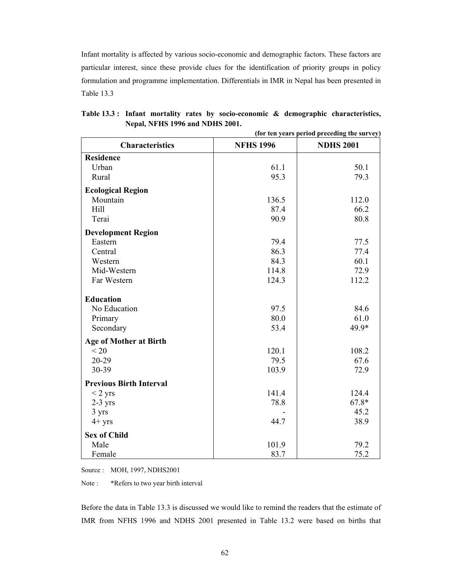Infant mortality is affected by various socio-economic and demographic factors. These factors are particular interest, since these provide clues for the identification of priority groups in policy formulation and programme implementation. Differentials in IMR in Nepal has been presented in Table 13.3

|                                | (for ten years period preceding the survey) |                  |  |  |  |
|--------------------------------|---------------------------------------------|------------------|--|--|--|
| <b>Characteristics</b>         | <b>NFHS 1996</b>                            | <b>NDHS 2001</b> |  |  |  |
| <b>Residence</b>               |                                             |                  |  |  |  |
| Urban                          | 61.1                                        | 50.1             |  |  |  |
| Rural                          | 95.3                                        | 79.3             |  |  |  |
| <b>Ecological Region</b>       |                                             |                  |  |  |  |
| Mountain                       | 136.5                                       | 112.0            |  |  |  |
| Hill                           | 87.4                                        | 66.2             |  |  |  |
| Terai                          | 90.9                                        | 80.8             |  |  |  |
| <b>Development Region</b>      |                                             |                  |  |  |  |
| Eastern                        | 79.4                                        | 77.5             |  |  |  |
| Central                        | 86.3                                        | 77.4             |  |  |  |
| Western                        | 84.3                                        | 60.1             |  |  |  |
| Mid-Western                    | 114.8                                       | 72.9             |  |  |  |
| Far Western                    | 124.3                                       | 112.2            |  |  |  |
| <b>Education</b>               |                                             |                  |  |  |  |
| No Education                   | 97.5                                        | 84.6             |  |  |  |
| Primary                        | 80.0                                        | 61.0             |  |  |  |
| Secondary                      | 53.4                                        | 49.9*            |  |  |  |
| <b>Age of Mother at Birth</b>  |                                             |                  |  |  |  |
| < 20                           | 120.1                                       | 108.2            |  |  |  |
| $20 - 29$                      | 79.5                                        | 67.6             |  |  |  |
| 30-39                          | 103.9                                       | 72.9             |  |  |  |
| <b>Previous Birth Interval</b> |                                             |                  |  |  |  |
| $<$ 2 yrs                      | 141.4                                       | 124.4            |  |  |  |
| $2-3$ yrs                      | 78.8                                        | $67.8*$          |  |  |  |
| 3 yrs                          |                                             | 45.2             |  |  |  |
| $4+$ yrs                       | 44.7                                        | 38.9             |  |  |  |
| <b>Sex of Child</b>            |                                             |                  |  |  |  |
| Male                           | 101.9                                       | 79.2             |  |  |  |
| Female                         | 83.7                                        | 75.2             |  |  |  |

**Table 13.3 : Infant mortality rates by socio-economic & demographic characteristics, Nepal, NFHS 1996 and NDHS 2001.** 

Source : MOH, 1997, NDHS2001

Note : \*Refers to two year birth interval

Before the data in Table 13.3 is discussed we would like to remind the readers that the estimate of IMR from NFHS 1996 and NDHS 2001 presented in Table 13.2 were based on births that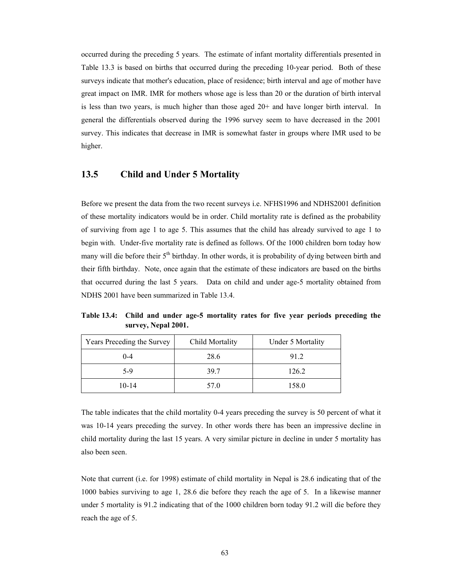occurred during the preceding 5 years. The estimate of infant mortality differentials presented in Table 13.3 is based on births that occurred during the preceding 10-year period. Both of these surveys indicate that mother's education, place of residence; birth interval and age of mother have great impact on IMR. IMR for mothers whose age is less than 20 or the duration of birth interval is less than two years, is much higher than those aged 20+ and have longer birth interval. In general the differentials observed during the 1996 survey seem to have decreased in the 2001 survey. This indicates that decrease in IMR is somewhat faster in groups where IMR used to be higher.

#### **13.5 Child and Under 5 Mortality**

Before we present the data from the two recent surveys i.e. NFHS1996 and NDHS2001 definition of these mortality indicators would be in order. Child mortality rate is defined as the probability of surviving from age 1 to age 5. This assumes that the child has already survived to age 1 to begin with. Under-five mortality rate is defined as follows. Of the 1000 children born today how many will die before their 5<sup>th</sup> birthday. In other words, it is probability of dying between birth and their fifth birthday. Note, once again that the estimate of these indicators are based on the births that occurred during the last 5 years. Data on child and under age-5 mortality obtained from NDHS 2001 have been summarized in Table 13.4.

**Table 13.4: Child and under age-5 mortality rates for five year periods preceding the survey, Nepal 2001.** 

| Years Preceding the Survey | Child Mortality | <b>Under 5 Mortality</b> |
|----------------------------|-----------------|--------------------------|
| $0 - 4$                    | 28.6            | 91.2                     |
| 5-9                        | 39.7            | 126.2                    |
| $10 - 14$                  | 57.0            | 158.0                    |

The table indicates that the child mortality 0-4 years preceding the survey is 50 percent of what it was 10-14 years preceding the survey. In other words there has been an impressive decline in child mortality during the last 15 years. A very similar picture in decline in under 5 mortality has also been seen.

Note that current (i.e. for 1998) estimate of child mortality in Nepal is 28.6 indicating that of the 1000 babies surviving to age 1, 28.6 die before they reach the age of 5. In a likewise manner under 5 mortality is 91.2 indicating that of the 1000 children born today 91.2 will die before they reach the age of 5.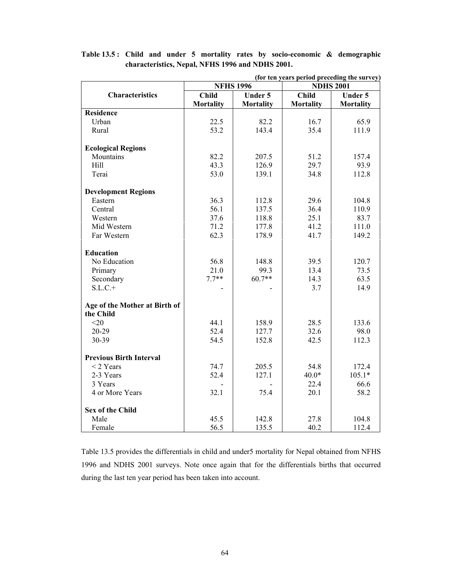| (for ten years period preceding the survey) |                  |                  |                  |                  |  |  |
|---------------------------------------------|------------------|------------------|------------------|------------------|--|--|
|                                             | <b>NFHS 1996</b> |                  | <b>NDHS 2001</b> |                  |  |  |
| <b>Characteristics</b>                      | Child            | <b>Under 5</b>   | Child            | <b>Under 5</b>   |  |  |
|                                             | <b>Mortality</b> | <b>Mortality</b> | <b>Mortality</b> | <b>Mortality</b> |  |  |
| <b>Residence</b>                            |                  |                  |                  |                  |  |  |
| Urban                                       | 22.5             | 82.2             | 16.7             | 65.9             |  |  |
| Rural                                       | 53.2             | 143.4            | 35.4             | 111.9            |  |  |
| <b>Ecological Regions</b>                   |                  |                  |                  |                  |  |  |
| Mountains                                   | 82.2             | 207.5            | 51.2             | 157.4            |  |  |
| Hill                                        | 43.3             | 126.9            | 29.7             | 93.9             |  |  |
| Terai                                       | 53.0             | 139.1            | 34.8             | 112.8            |  |  |
| <b>Development Regions</b>                  |                  |                  |                  |                  |  |  |
| Eastern                                     | 36.3             | 112.8            | 29.6             | 104.8            |  |  |
| Central                                     | 56.1             | 137.5            | 36.4             | 110.9            |  |  |
| Western                                     | 37.6             | 118.8            | 25.1             | 83.7             |  |  |
| Mid Western                                 | 71.2             | 177.8            | 41.2             | 111.0            |  |  |
| Far Western                                 | 62.3             | 178.9            | 41.7             | 149.2            |  |  |
|                                             |                  |                  |                  |                  |  |  |
| <b>Education</b>                            |                  |                  |                  |                  |  |  |
| No Education                                | 56.8             | 148.8            | 39.5             | 120.7            |  |  |
| Primary                                     | 21.0             | 99.3             | 13.4             | 73.5             |  |  |
| Secondary                                   | $7.7**$          | $60.7**$         | 14.3             | 63.5             |  |  |
| $S.L.C.+$                                   |                  |                  | 3.7              | 14.9             |  |  |
|                                             |                  |                  |                  |                  |  |  |
| Age of the Mother at Birth of               |                  |                  |                  |                  |  |  |
| the Child                                   |                  |                  |                  |                  |  |  |
| $<$ 20                                      | 44.1             | 158.9            | 28.5             | 133.6            |  |  |
| $20 - 29$                                   | 52.4             | 127.7            | 32.6             | 98.0             |  |  |
| 30-39                                       | 54.5             | 152.8            | 42.5             | 112.3            |  |  |
| <b>Previous Birth Interval</b>              |                  |                  |                  |                  |  |  |
| $<$ 2 Years                                 | 74.7             | 205.5            | 54.8             | 172.4            |  |  |
| 2-3 Years                                   | 52.4             | 127.1            | $40.0*$          | $105.1*$         |  |  |
| 3 Years                                     |                  |                  | 22.4             | 66.6             |  |  |
| 4 or More Years                             | 32.1             | 75.4             | 20.1             | 58.2             |  |  |
| <b>Sex of the Child</b>                     |                  |                  |                  |                  |  |  |
| Male                                        | 45.5             | 142.8            | 27.8             | 104.8            |  |  |
| Female                                      | 56.5             | 135.5            | 40.2             | 112.4            |  |  |
|                                             |                  |                  |                  |                  |  |  |

**Table 13.5 : Child and under 5 mortality rates by socio-economic & demographic characteristics, Nepal, NFHS 1996 and NDHS 2001.** 

Table 13.5 provides the differentials in child and under5 mortality for Nepal obtained from NFHS 1996 and NDHS 2001 surveys. Note once again that for the differentials births that occurred during the last ten year period has been taken into account.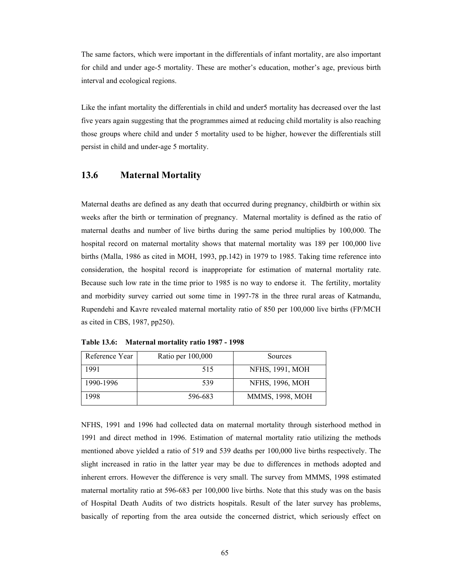The same factors, which were important in the differentials of infant mortality, are also important for child and under age-5 mortality. These are mother's education, mother's age, previous birth interval and ecological regions.

Like the infant mortality the differentials in child and under5 mortality has decreased over the last five years again suggesting that the programmes aimed at reducing child mortality is also reaching those groups where child and under 5 mortality used to be higher, however the differentials still persist in child and under-age 5 mortality.

#### **13.6 Maternal Mortality**

Maternal deaths are defined as any death that occurred during pregnancy, childbirth or within six weeks after the birth or termination of pregnancy. Maternal mortality is defined as the ratio of maternal deaths and number of live births during the same period multiplies by 100,000. The hospital record on maternal mortality shows that maternal mortality was 189 per 100,000 live births (Malla, 1986 as cited in MOH, 1993, pp.142) in 1979 to 1985. Taking time reference into consideration, the hospital record is inappropriate for estimation of maternal mortality rate. Because such low rate in the time prior to 1985 is no way to endorse it. The fertility, mortality and morbidity survey carried out some time in 1997-78 in the three rural areas of Katmandu, Rupendehi and Kavre revealed maternal mortality ratio of 850 per 100,000 live births (FP/MCH as cited in CBS, 1987, pp250).

| Reference Year | Ratio per 100,000 | Sources                |
|----------------|-------------------|------------------------|
| 1991           | 515               | <b>NFHS, 1991, MOH</b> |
| 1990-1996      | 539               | <b>NFHS, 1996, MOH</b> |
| 1998           | 596-683           | <b>MMMS, 1998, MOH</b> |

**Table 13.6: Maternal mortality ratio 1987 - 1998** 

NFHS, 1991 and 1996 had collected data on maternal mortality through sisterhood method in 1991 and direct method in 1996. Estimation of maternal mortality ratio utilizing the methods mentioned above yielded a ratio of 519 and 539 deaths per 100,000 live births respectively. The slight increased in ratio in the latter year may be due to differences in methods adopted and inherent errors. However the difference is very small. The survey from MMMS, 1998 estimated maternal mortality ratio at 596-683 per 100,000 live births. Note that this study was on the basis of Hospital Death Audits of two districts hospitals. Result of the later survey has problems, basically of reporting from the area outside the concerned district, which seriously effect on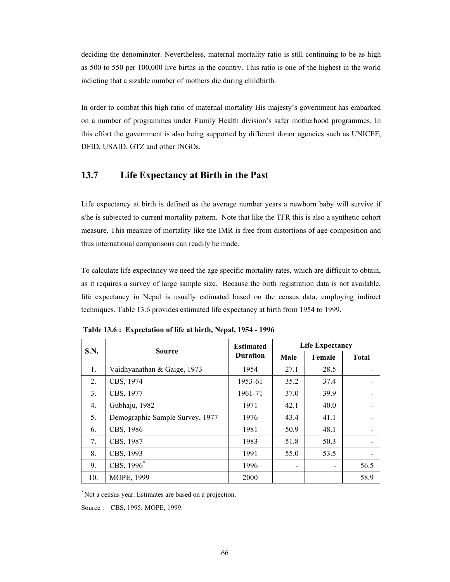deciding the denominator. Nevertheless, maternal mortality ratio is still continuing to be as high as 500 to 550 per 100,000 live births in the country. This ratio is one of the highest in the world indicting that a sizable number of mothers die during childbirth.

In order to combat this high ratio of maternal mortality His majesty's government has embarked on a number of programmes under Family Health division's safer motherhood programmes. In this effort the government is also being supported by different donor agencies such as UNICEF, DFID, USAID, GTZ and other INGOs.

#### **13.7 Life Expectancy at Birth in the Past**

Life expectancy at birth is defined as the average number years a newborn baby will survive if s/he is subjected to current mortality pattern. Note that like the TFR this is also a synthetic cohort measure. This measure of mortality like the IMR is free from distortions of age composition and thus international comparisons can readily be made.

To calculate life expectancy we need the age specific mortality rates, which are difficult to obtain, as it requires a survey of large sample size. Because the birth registration data is not available, life expectancy in Nepal is usually estimated based on the census data, employing indirect techniques. Table 13.6 provides estimated life expectancy at birth from 1954 to 1999.

| <b>S.N.</b> | <b>Source</b>                   | <b>Estimated</b> | <b>Life Expectancy</b> |        |              |  |
|-------------|---------------------------------|------------------|------------------------|--------|--------------|--|
|             |                                 | <b>Duration</b>  | Male                   | Female | <b>Total</b> |  |
| 1.          | Vaidhyanathan & Gaige, 1973     | 1954             | 27.1                   | 28.5   |              |  |
| 2.          | CBS, 1974                       | 1953-61          | 35.2                   | 37.4   |              |  |
| 3.          | CBS, 1977                       | 1961-71          | 37.0                   | 39.9   |              |  |
| 4.          | Gubhaju, 1982                   | 1971             | 42.1                   | 40.0   |              |  |
| 5.          | Demographic Sample Survey, 1977 | 1976             | 43.4                   | 41.1   |              |  |
| 6.          | CBS, 1986                       | 1981             | 50.9                   | 48.1   |              |  |
| 7.          | CBS, 1987                       | 1983             | 51.8                   | 50.3   |              |  |
| 8.          | CBS, 1993                       | 1991             | 55.0                   | 53.5   |              |  |
| 9.          | CBS, 1996 <sup>*</sup>          | 1996             |                        |        | 56.5         |  |
| 10.         | MOPE, 1999                      | 2000             |                        |        | 58.9         |  |

 **Table 13.6 : Expectation of life at birth, Nepal, 1954 - 1996** 

\*Not a census year. Estimates are based on a projection.

Source : CBS, 1995; MOPE, 1999.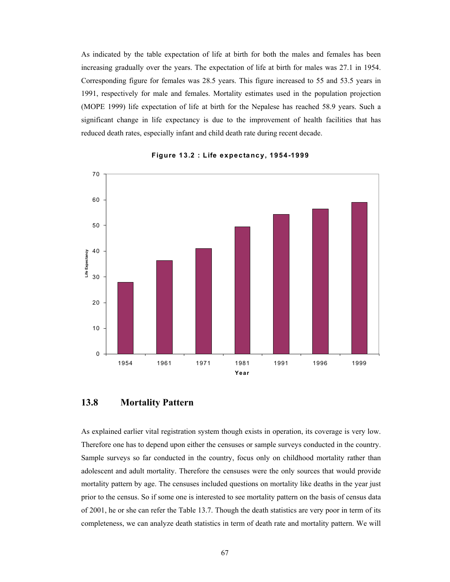As indicated by the table expectation of life at birth for both the males and females has been increasing gradually over the years. The expectation of life at birth for males was 27.1 in 1954. Corresponding figure for females was 28.5 years. This figure increased to 55 and 53.5 years in 1991, respectively for male and females. Mortality estimates used in the population projection (MOPE 1999) life expectation of life at birth for the Nepalese has reached 58.9 years. Such a significant change in life expectancy is due to the improvement of health facilities that has reduced death rates, especially infant and child death rate during recent decade.



#### **Figure 13.2 : Life expectancy, 1954-1999**

#### **13.8 Mortality Pattern**

As explained earlier vital registration system though exists in operation, its coverage is very low. Therefore one has to depend upon either the censuses or sample surveys conducted in the country. Sample surveys so far conducted in the country, focus only on childhood mortality rather than adolescent and adult mortality. Therefore the censuses were the only sources that would provide mortality pattern by age. The censuses included questions on mortality like deaths in the year just prior to the census. So if some one is interested to see mortality pattern on the basis of census data of 2001, he or she can refer the Table 13.7. Though the death statistics are very poor in term of its completeness, we can analyze death statistics in term of death rate and mortality pattern. We will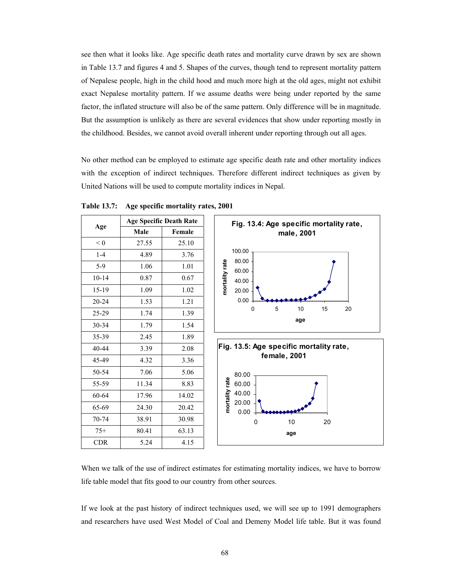see then what it looks like. Age specific death rates and mortality curve drawn by sex are shown in Table 13.7 and figures 4 and 5. Shapes of the curves, though tend to represent mortality pattern of Nepalese people, high in the child hood and much more high at the old ages, might not exhibit exact Nepalese mortality pattern. If we assume deaths were being under reported by the same factor, the inflated structure will also be of the same pattern. Only difference will be in magnitude. But the assumption is unlikely as there are several evidences that show under reporting mostly in the childhood. Besides, we cannot avoid overall inherent under reporting through out all ages.

No other method can be employed to estimate age specific death rate and other mortality indices with the exception of indirect techniques. Therefore different indirect techniques as given by United Nations will be used to compute mortality indices in Nepal.

|           | <b>Age Specific Death Rate</b> |        |  |  |
|-----------|--------------------------------|--------|--|--|
| Age       | Male                           | Female |  |  |
| < 0       | 27.55                          | 25.10  |  |  |
| $1 - 4$   | 4.89                           | 3.76   |  |  |
| $5-9$     | 1.06                           | 1.01   |  |  |
| $10 - 14$ | 0.87                           | 0.67   |  |  |
| 15-19     | 1.09                           | 1.02   |  |  |
| $20 - 24$ | 1.53                           | 1.21   |  |  |
| 25-29     | 1.74                           | 1.39   |  |  |
| 30-34     | 1.79                           | 1.54   |  |  |
| 35-39     | 2.45                           | 1.89   |  |  |
| $40 - 44$ | 3.39                           | 2.08   |  |  |
| 45-49     | 4.32                           | 3.36   |  |  |
| 50-54     | 7.06                           | 5.06   |  |  |
| 55-59     | 11.34                          | 8.83   |  |  |
| 60-64     | 17.96                          | 14.02  |  |  |
| 65-69     | 24.30                          | 20.42  |  |  |
| 70-74     | 38.91                          | 30.98  |  |  |
| $75+$     | 80.41                          | 63.13  |  |  |
| CDR       | 5.24                           | 4.15   |  |  |

**Table 13.7: Age specific mortality rates, 2001**





When we talk of the use of indirect estimates for estimating mortality indices, we have to borrow life table model that fits good to our country from other sources.

If we look at the past history of indirect techniques used, we will see up to 1991 demographers and researchers have used West Model of Coal and Demeny Model life table. But it was found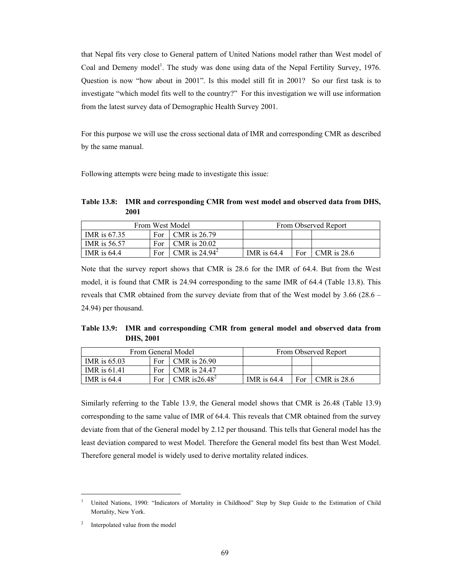that Nepal fits very close to General pattern of United Nations model rather than West model of Coal and Demeny model<sup>1</sup>. The study was done using data of the Nepal Fertility Survey, 1976. Question is now "how about in 2001". Is this model still fit in 2001? So our first task is to investigate "which model fits well to the country?" For this investigation we will use information from the latest survey data of Demographic Health Survey 2001.

For this purpose we will use the cross sectional data of IMR and corresponding CMR as described by the same manual.

Following attempts were being made to investigate this issue:

**Table 13.8: IMR and corresponding CMR from west model and observed data from DHS, 2001** 

| From West Model |     |                 | From Observed Report |     |               |
|-----------------|-----|-----------------|----------------------|-----|---------------|
| IMR is 67.35    | For | CMR is 26.79    |                      |     |               |
| IMR is 56.57    | For | CMR is 20.02    |                      |     |               |
| IMR is $64.4$   | For | CMR is $24.942$ | IMR is $64.4$        | For | $CMR$ is 28.6 |

Note that the survey report shows that CMR is 28.6 for the IMR of 64.4. But from the West model, it is found that CMR is 24.94 corresponding to the same IMR of 64.4 (Table 13.8). This reveals that CMR obtained from the survey deviate from that of the West model by 3.66 (28.6 – 24.94) per thousand.

**Table 13.9: IMR and corresponding CMR from general model and observed data from DHS, 2001** 

| From General Model  |     |                  |               |     | From Observed Report |
|---------------------|-----|------------------|---------------|-----|----------------------|
| IMR is $65.03$      | For | CMR is 26.90     |               |     |                      |
| <b>IMR</b> is 61.41 | For | CMR is 24.47     |               |     |                      |
| IMR is $64.4$       | For | CMR is $26.48^2$ | IMR is $64.4$ | For | <b>CMR</b> is 28.6   |

Similarly referring to the Table 13.9, the General model shows that CMR is 26.48 (Table 13.9) corresponding to the same value of IMR of 64.4. This reveals that CMR obtained from the survey deviate from that of the General model by 2.12 per thousand. This tells that General model has the least deviation compared to west Model. Therefore the General model fits best than West Model. Therefore general model is widely used to derive mortality related indices.

 $\overline{a}$ 

<sup>1</sup> United Nations, 1990: "Indicators of Mortality in Childhood" Step by Step Guide to the Estimation of Child Mortality, New York.

<sup>&</sup>lt;sup>2</sup> Interpolated value from the model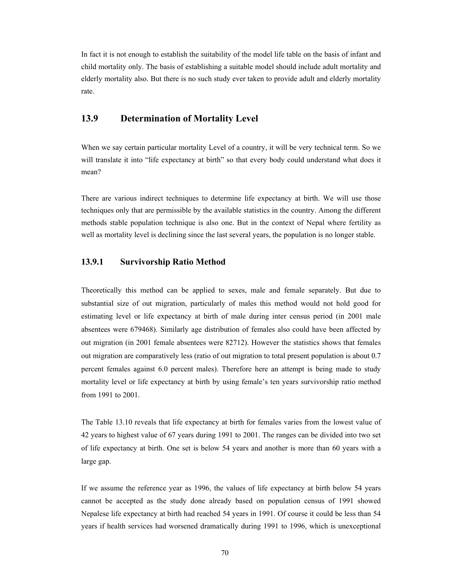In fact it is not enough to establish the suitability of the model life table on the basis of infant and child mortality only. The basis of establishing a suitable model should include adult mortality and elderly mortality also. But there is no such study ever taken to provide adult and elderly mortality rate.

#### **13.9 Determination of Mortality Level**

When we say certain particular mortality Level of a country, it will be very technical term. So we will translate it into "life expectancy at birth" so that every body could understand what does it mean?

There are various indirect techniques to determine life expectancy at birth. We will use those techniques only that are permissible by the available statistics in the country. Among the different methods stable population technique is also one. But in the context of Nepal where fertility as well as mortality level is declining since the last several years, the population is no longer stable.

#### **13.9.1 Survivorship Ratio Method**

Theoretically this method can be applied to sexes, male and female separately. But due to substantial size of out migration, particularly of males this method would not hold good for estimating level or life expectancy at birth of male during inter census period (in 2001 male absentees were 679468). Similarly age distribution of females also could have been affected by out migration (in 2001 female absentees were 82712). However the statistics shows that females out migration are comparatively less (ratio of out migration to total present population is about 0.7 percent females against 6.0 percent males). Therefore here an attempt is being made to study mortality level or life expectancy at birth by using female's ten years survivorship ratio method from 1991 to 2001.

The Table 13.10 reveals that life expectancy at birth for females varies from the lowest value of 42 years to highest value of 67 years during 1991 to 2001. The ranges can be divided into two set of life expectancy at birth. One set is below 54 years and another is more than 60 years with a large gap.

If we assume the reference year as 1996, the values of life expectancy at birth below 54 years cannot be accepted as the study done already based on population census of 1991 showed Nepalese life expectancy at birth had reached 54 years in 1991. Of course it could be less than 54 years if health services had worsened dramatically during 1991 to 1996, which is unexceptional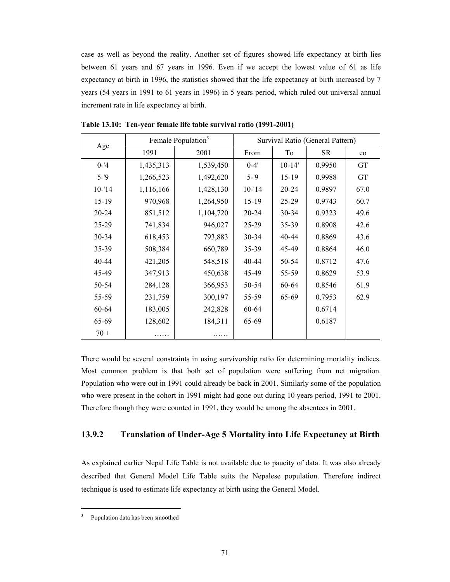case as well as beyond the reality. Another set of figures showed life expectancy at birth lies between 61 years and 67 years in 1996. Even if we accept the lowest value of 61 as life expectancy at birth in 1996, the statistics showed that the life expectancy at birth increased by 7 years (54 years in 1991 to 61 years in 1996) in 5 years period, which ruled out universal annual increment rate in life expectancy at birth.

| Age       |           | Female Population <sup>3</sup> | Survival Ratio (General Pattern) |            |           |           |
|-----------|-----------|--------------------------------|----------------------------------|------------|-----------|-----------|
|           | 1991      | 2001                           | From                             | To         | <b>SR</b> | eo        |
| $0 - 4$   | 1,435,313 | 1,539,450                      | $0 - 4'$                         | $10 - 14'$ | 0.9950    | GT        |
| $5 - 9$   | 1,266,523 | 1,492,620                      | $5 - 9$                          | $15-19$    | 0.9988    | <b>GT</b> |
| $10 - 14$ | 1,116,166 | 1,428,130                      | $10 - 14$                        | $20 - 24$  | 0.9897    | 67.0      |
| $15-19$   | 970,968   | 1,264,950                      | $15-19$                          | $25-29$    | 0.9743    | 60.7      |
| $20 - 24$ | 851,512   | 1,104,720                      | $20 - 24$                        | $30 - 34$  | 0.9323    | 49.6      |
| $25 - 29$ | 741,834   | 946,027                        | 25-29                            | $35 - 39$  | 0.8908    | 42.6      |
| 30-34     | 618,453   | 793,883                        | 30-34                            | 40-44      | 0.8869    | 43.6      |
| 35-39     | 508,384   | 660,789                        | 35-39                            | 45-49      | 0.8864    | 46.0      |
| 40-44     | 421,205   | 548,518                        | 40-44                            | 50-54      | 0.8712    | 47.6      |
| 45-49     | 347,913   | 450,638                        | 45-49                            | 55-59      | 0.8629    | 53.9      |
| 50-54     | 284,128   | 366,953                        | 50-54                            | 60-64      | 0.8546    | 61.9      |
| 55-59     | 231,759   | 300,197                        | 55-59                            | 65-69      | 0.7953    | 62.9      |
| 60-64     | 183,005   | 242,828                        | 60-64                            |            | 0.6714    |           |
| 65-69     | 128,602   | 184,311                        | 65-69                            |            | 0.6187    |           |
| $70 +$    |           |                                |                                  |            |           |           |

**Table 13.10: Ten-year female life table survival ratio (1991-2001)** 

There would be several constraints in using survivorship ratio for determining mortality indices. Most common problem is that both set of population were suffering from net migration. Population who were out in 1991 could already be back in 2001. Similarly some of the population who were present in the cohort in 1991 might had gone out during 10 years period, 1991 to 2001. Therefore though they were counted in 1991, they would be among the absentees in 2001.

#### **13.9.2 Translation of Under-Age 5 Mortality into Life Expectancy at Birth**

As explained earlier Nepal Life Table is not available due to paucity of data. It was also already described that General Model Life Table suits the Nepalese population. Therefore indirect technique is used to estimate life expectancy at birth using the General Model.

 $\overline{a}$ 

<sup>&</sup>lt;sup>3</sup> Population data has been smoothed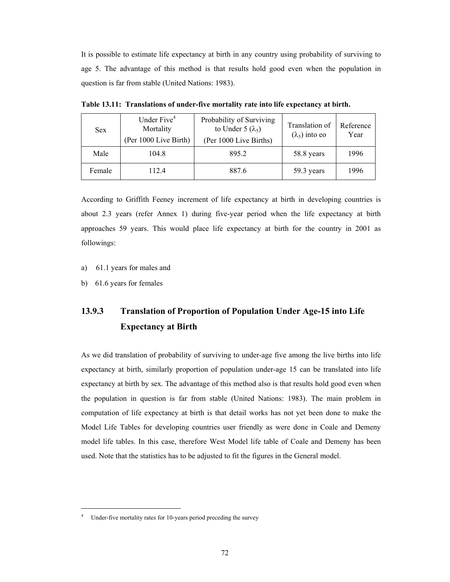It is possible to estimate life expectancy at birth in any country using probability of surviving to age 5. The advantage of this method is that results hold good even when the population in question is far from stable (United Nations: 1983).

| <b>Sex</b> | Under Five <sup>4</sup><br>Mortality<br>(Per 1000 Live Birth) | Probability of Surviving<br>to Under 5 $(\lambda_5)$<br>(Per 1000 Live Births) | Translation of<br>$(\lambda_5)$ into eo | Reference<br>Year |
|------------|---------------------------------------------------------------|--------------------------------------------------------------------------------|-----------------------------------------|-------------------|
| Male       | 104.8                                                         | 895.2                                                                          | 58.8 years                              | 1996              |
| Female     | 112.4                                                         | 887.6                                                                          | 59.3 years                              | 1996              |

**Table 13.11: Translations of under-five mortality rate into life expectancy at birth.** 

According to Griffith Feeney increment of life expectancy at birth in developing countries is about 2.3 years (refer Annex 1) during five-year period when the life expectancy at birth approaches 59 years. This would place life expectancy at birth for the country in 2001 as followings:

- a) 61.1 years for males and
- b) 61.6 years for females

 $\overline{a}$ 

## **13.9.3 Translation of Proportion of Population Under Age-15 into Life Expectancy at Birth**

As we did translation of probability of surviving to under-age five among the live births into life expectancy at birth, similarly proportion of population under-age 15 can be translated into life expectancy at birth by sex. The advantage of this method also is that results hold good even when the population in question is far from stable (United Nations: 1983). The main problem in computation of life expectancy at birth is that detail works has not yet been done to make the Model Life Tables for developing countries user friendly as were done in Coale and Demeny model life tables. In this case, therefore West Model life table of Coale and Demeny has been used. Note that the statistics has to be adjusted to fit the figures in the General model.

<sup>4</sup> Under-five mortality rates for 10-years period preceding the survey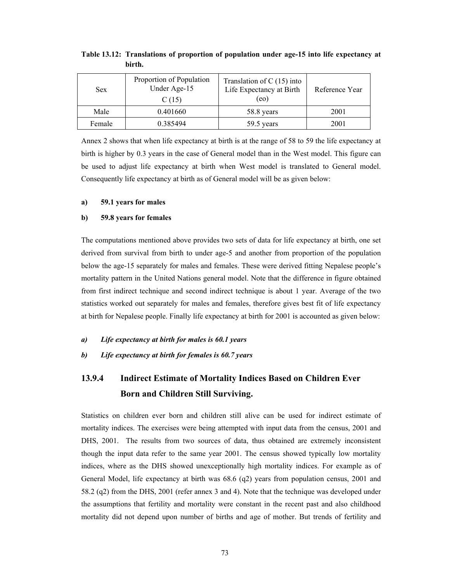| Sex.   | Proportion of Population<br>Under Age-15<br>C(15) | Translation of $C(15)$ into<br>Life Expectancy at Birth<br>(eo) | Reference Year |
|--------|---------------------------------------------------|-----------------------------------------------------------------|----------------|
| Male   | 0.401660                                          | 58.8 years                                                      | 2001           |
| Female | 0.385494                                          | 59.5 years                                                      | 2001           |

**Table 13.12: Translations of proportion of population under age-15 into life expectancy at birth.** 

Annex 2 shows that when life expectancy at birth is at the range of 58 to 59 the life expectancy at birth is higher by 0.3 years in the case of General model than in the West model. This figure can be used to adjust life expectancy at birth when West model is translated to General model. Consequently life expectancy at birth as of General model will be as given below:

#### **a) 59.1 years for males**

#### **b) 59.8 years for females**

The computations mentioned above provides two sets of data for life expectancy at birth, one set derived from survival from birth to under age-5 and another from proportion of the population below the age-15 separately for males and females. These were derived fitting Nepalese people's mortality pattern in the United Nations general model. Note that the difference in figure obtained from first indirect technique and second indirect technique is about 1 year. Average of the two statistics worked out separately for males and females, therefore gives best fit of life expectancy at birth for Nepalese people. Finally life expectancy at birth for 2001 is accounted as given below:

#### *a) Life expectancy at birth for males is 60.1 years*

*b) Life expectancy at birth for females is 60.7 years* 

## **13.9.4 Indirect Estimate of Mortality Indices Based on Children Ever Born and Children Still Surviving.**

Statistics on children ever born and children still alive can be used for indirect estimate of mortality indices. The exercises were being attempted with input data from the census, 2001 and DHS, 2001. The results from two sources of data, thus obtained are extremely inconsistent though the input data refer to the same year 2001. The census showed typically low mortality indices, where as the DHS showed unexceptionally high mortality indices. For example as of General Model, life expectancy at birth was 68.6 (q2) years from population census, 2001 and 58.2 (q2) from the DHS, 2001 (refer annex 3 and 4). Note that the technique was developed under the assumptions that fertility and mortality were constant in the recent past and also childhood mortality did not depend upon number of births and age of mother. But trends of fertility and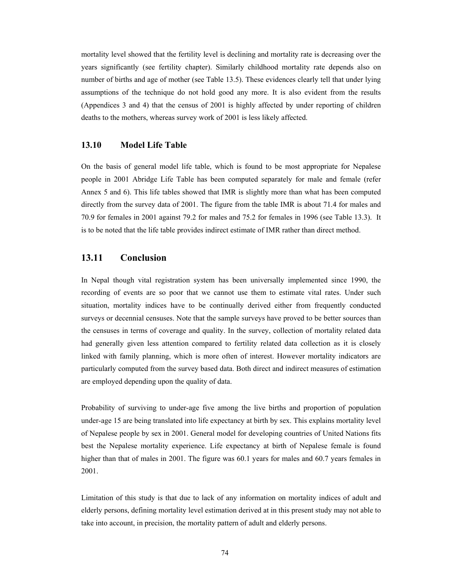mortality level showed that the fertility level is declining and mortality rate is decreasing over the years significantly (see fertility chapter). Similarly childhood mortality rate depends also on number of births and age of mother (see Table 13.5). These evidences clearly tell that under lying assumptions of the technique do not hold good any more. It is also evident from the results (Appendices 3 and 4) that the census of 2001 is highly affected by under reporting of children deaths to the mothers, whereas survey work of 2001 is less likely affected.

#### **13.10 Model Life Table**

On the basis of general model life table, which is found to be most appropriate for Nepalese people in 2001 Abridge Life Table has been computed separately for male and female (refer Annex 5 and 6). This life tables showed that IMR is slightly more than what has been computed directly from the survey data of 2001. The figure from the table IMR is about 71.4 for males and 70.9 for females in 2001 against 79.2 for males and 75.2 for females in 1996 (see Table 13.3). It is to be noted that the life table provides indirect estimate of IMR rather than direct method.

#### **13.11 Conclusion**

In Nepal though vital registration system has been universally implemented since 1990, the recording of events are so poor that we cannot use them to estimate vital rates. Under such situation, mortality indices have to be continually derived either from frequently conducted surveys or decennial censuses. Note that the sample surveys have proved to be better sources than the censuses in terms of coverage and quality. In the survey, collection of mortality related data had generally given less attention compared to fertility related data collection as it is closely linked with family planning, which is more often of interest. However mortality indicators are particularly computed from the survey based data. Both direct and indirect measures of estimation are employed depending upon the quality of data.

Probability of surviving to under-age five among the live births and proportion of population under-age 15 are being translated into life expectancy at birth by sex. This explains mortality level of Nepalese people by sex in 2001. General model for developing countries of United Nations fits best the Nepalese mortality experience. Life expectancy at birth of Nepalese female is found higher than that of males in 2001. The figure was 60.1 years for males and 60.7 years females in 2001.

Limitation of this study is that due to lack of any information on mortality indices of adult and elderly persons, defining mortality level estimation derived at in this present study may not able to take into account, in precision, the mortality pattern of adult and elderly persons.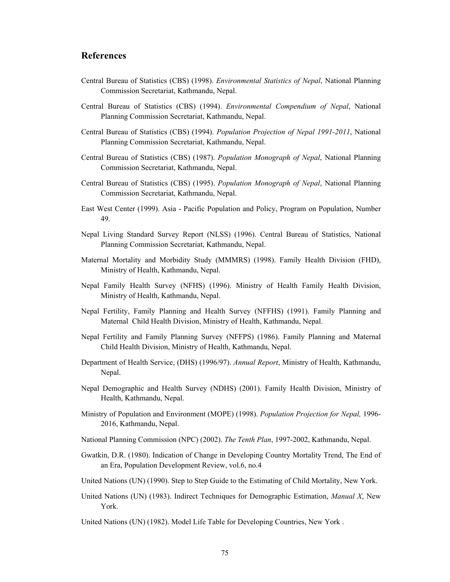#### **References**

- Central Bureau of Statistics (CBS) (1998). *Environmental Statistics of Nepal*, National Planning Commission Secretariat, Kathmandu, Nepal.
- Central Bureau of Statistics (CBS) (1994). *Environmental Compendium of Nepal*, National Planning Commission Secretariat, Kathmandu, Nepal.
- Central Bureau of Statistics (CBS) (1994). *Population Projection of Nepal 1991-2011*, National Planning Commission Secretariat, Kathmandu, Nepal.
- Central Bureau of Statistics (CBS) (1987). *Population Monograph of Nepal*, National Planning Commission Secretariat, Kathmandu, Nepal.
- Central Bureau of Statistics (CBS) (1995). *Population Monograph of Nepal*, National Planning Commission Secretariat, Kathmandu, Nepal.
- East West Center (1999). Asia Pacific Population and Policy, Program on Population, Number 49.
- Nepal Living Standard Survey Report (NLSS) (1996). Central Bureau of Statistics, National Planning Commission Secretariat, Kathmandu, Nepal.
- Maternal Mortality and Morbidity Study (MMMRS) (1998). Family Health Division (FHD), Ministry of Health, Kathmandu, Nepal.
- Nepal Family Health Survey (NFHS) (1996). Ministry of Health Family Health Division, Ministry of Health, Kathmandu, Nepal.
- Nepal Fertility, Family Planning and Health Survey (NFFHS) (1991). Family Planning and Maternal Child Health Division, Ministry of Health, Kathmandu, Nepal.
- Nepal Fertility and Family Planning Survey (NFFPS) (1986). Family Planning and Maternal Child Health Division, Ministry of Health, Kathmandu, Nepal.
- Department of Health Service, (DHS) (1996/97). *Annual Report*, Ministry of Health, Kathmandu, Nepal.
- Nepal Demographic and Health Survey (NDHS) (2001). Family Health Division, Ministry of Health, Kathmandu, Nepal.
- Ministry of Population and Environment (MOPE) (1998). *Population Projection for Nepal,* 1996- 2016, Kathmandu, Nepal.
- National Planning Commission (NPC) (2002). *The Tenth Plan*, 1997-2002, Kathmandu, Nepal.
- Gwatkin, D.R. (1980). Indication of Change in Developing Country Mortality Trend, The End of an Era, Population Development Review, vol.6, no.4
- United Nations (UN) (1990). Step to Step Guide to the Estimating of Child Mortality, New York.
- United Nations (UN) (1983). Indirect Techniques for Demographic Estimation, *Manual X*, New York.
- United Nations (UN) (1982). Model Life Table for Developing Countries, New York .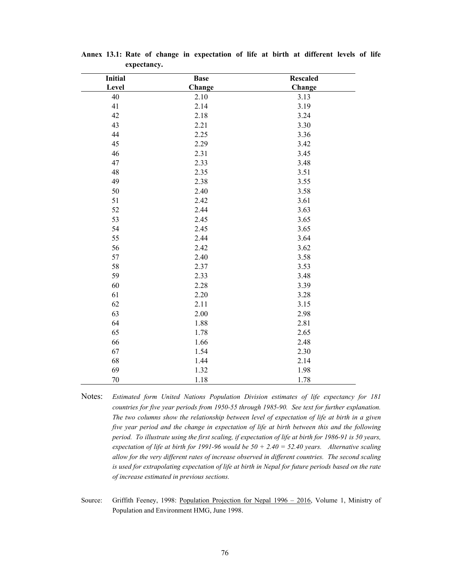| <b>Initial</b> | <b>Base</b> | <b>Rescaled</b> |
|----------------|-------------|-----------------|
| Level          | Change      | Change          |
| 40             | 2.10        | 3.13            |
| 41             | 2.14        | 3.19            |
| 42             | 2.18        | 3.24            |
| 43             | 2.21        | 3.30            |
| 44             | 2.25        | 3.36            |
| 45             | 2.29        | 3.42            |
| 46             | 2.31        | 3.45            |
| 47             | 2.33        | 3.48            |
| 48             | 2.35        | 3.51            |
| 49             | 2.38        | 3.55            |
| 50             | 2.40        | 3.58            |
| 51             | 2.42        | 3.61            |
| 52             | 2.44        | 3.63            |
| 53             | 2.45        | 3.65            |
| 54             | 2.45        | 3.65            |
| 55             | 2.44        | 3.64            |
| 56             | 2.42        | 3.62            |
| 57             | 2.40        | 3.58            |
| 58             | 2.37        | 3.53            |
| 59             | 2.33        | 3.48            |
| 60             | 2.28        | 3.39            |
| 61             | 2.20        | 3.28            |
| 62             | 2.11        | 3.15            |
| 63             | 2.00        | 2.98            |
| 64             | 1.88        | 2.81            |
| 65             | 1.78        | 2.65            |
| 66             | 1.66        | 2.48            |
| 67             | 1.54        | 2.30            |
| 68             | 1.44        | 2.14            |
| 69             | 1.32        | 1.98            |
| 70             | 1.18        | 1.78            |

**Annex 13.1: Rate of change in expectation of life at birth at different levels of life expectancy.** 

Notes: *Estimated form United Nations Population Division estimates of life expectancy for 181 countries for five year periods from 1950-55 through 1985-90. See text for further explanation. The two columns show the relationship between level of expectation of life at birth in a given five year period and the change in expectation of life at birth between this and the following period. To illustrate using the first scaling, if expectation of life at birth for 1986-91 is 50 years, expectation of life at birth for 1991-96 would be 50 + 2.40 = 52.40 years. Alternative scaling allow for the very different rates of increase observed in different countries. The second scaling is used for extrapolating expectation of life at birth in Nepal for future periods based on the rate of increase estimated in previous sections.* 

Source: Griffith Feeney, 1998: Population Projection for Nepal 1996 – 2016, Volume 1, Ministry of Population and Environment HMG, June 1998.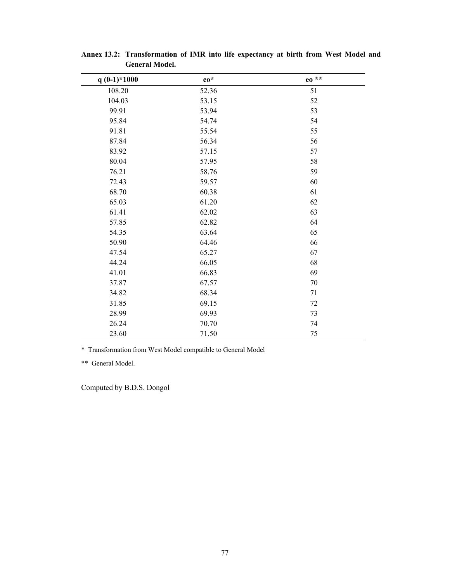| $q(0-1)*1000$ | $eo^*$ | eo ** |
|---------------|--------|-------|
| 108.20        | 52.36  | 51    |
| 104.03        | 53.15  | 52    |
| 99.91         | 53.94  | 53    |
| 95.84         | 54.74  | 54    |
| 91.81         | 55.54  | 55    |
| 87.84         | 56.34  | 56    |
| 83.92         | 57.15  | 57    |
| 80.04         | 57.95  | 58    |
| 76.21         | 58.76  | 59    |
| 72.43         | 59.57  | 60    |
| 68.70         | 60.38  | 61    |
| 65.03         | 61.20  | 62    |
| 61.41         | 62.02  | 63    |
| 57.85         | 62.82  | 64    |
| 54.35         | 63.64  | 65    |
| 50.90         | 64.46  | 66    |
| 47.54         | 65.27  | 67    |
| 44.24         | 66.05  | 68    |
| 41.01         | 66.83  | 69    |
| 37.87         | 67.57  | 70    |
| 34.82         | 68.34  | 71    |
| 31.85         | 69.15  | 72    |
| 28.99         | 69.93  | 73    |
| 26.24         | 70.70  | 74    |
| 23.60         | 71.50  | 75    |

**Annex 13.2: Transformation of IMR into life expectancy at birth from West Model and General Model.** 

\* Transformation from West Model compatible to General Model

\*\* General Model.

Computed by B.D.S. Dongol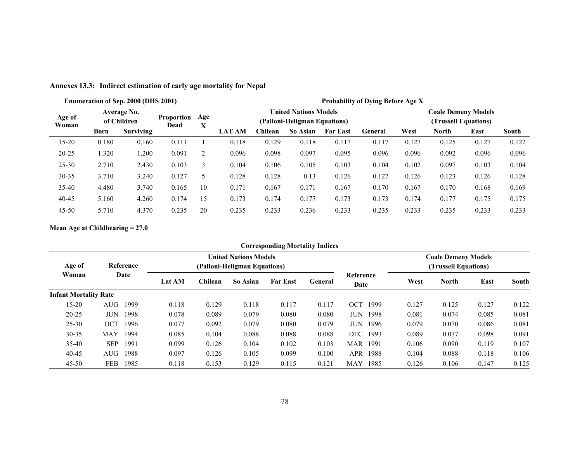|                 |       | Enumeration of Sep. 2000 (DHS 2001) |                           |          | <b>Probability of Dying Before Age X</b>                                                                           |         |          |                 |         |       |              |       |              |  |  |
|-----------------|-------|-------------------------------------|---------------------------|----------|--------------------------------------------------------------------------------------------------------------------|---------|----------|-----------------|---------|-------|--------------|-------|--------------|--|--|
| Age of<br>Woman |       | Average No.<br>of Children          | <b>Proportion</b><br>Dead | Age<br>v | <b>United Nations Models</b><br><b>Coale Demeny Models</b><br>(Trussell Equations)<br>(Palloni-Heligman Equations) |         |          |                 |         |       |              |       |              |  |  |
|                 | Born  | <b>Surviving</b>                    |                           | л        | <b>LAT AM</b>                                                                                                      | Chilean | So Asian | <b>Far East</b> | General | West  | <b>North</b> | East  | <b>South</b> |  |  |
| 15-20           | 0.180 | 0.160                               | 0.111                     |          | 0.118                                                                                                              | 0.129   | 0.118    | 0.117           | 0.117   | 0.127 | 0.125        | 0.127 | 0.122        |  |  |
| $20 - 25$       | 1.320 | 1.200                               | 0.091                     | 2        | 0.096                                                                                                              | 0.098   | 0.097    | 0.095           | 0.096   | 0.096 | 0.092        | 0.096 | 0.096        |  |  |
| $25 - 30$       | 2.710 | 2.430                               | 0.103                     | 3        | 0.104                                                                                                              | 0.106   | 0.105    | 0.103           | 0.104   | 0.102 | 0.097        | 0.103 | 0.104        |  |  |
| 30-35           | 3.710 | 3.240                               | 0.127                     | 5        | 0.128                                                                                                              | 0.128   | 0.13     | 0.126           | 0.127   | 0.126 | 0.123        | 0.126 | 0.128        |  |  |
| $35 - 40$       | 4.480 | 3.740                               | 0.165                     | 10       | 0.171                                                                                                              | 0.167   | 0.171    | 0.167           | 0.170   | 0.167 | 0.170        | 0.168 | 0.169        |  |  |
| 40-45           | 5.160 | 4.260                               | 0.174                     | 15       | 0.173                                                                                                              | 0.174   | 0.177    | 0.173           | 0.173   | 0.174 | 0.177        | 0.175 | 0.175        |  |  |
| $45 - 50$       | 5.710 | 4.370                               | 0.235                     | 20       | 0.235                                                                                                              | 0.233   | 0.236    | 0.233           | 0.235   | 0.233 | 0.235        | 0.233 | 0.233        |  |  |

**Annexes 13.3: Indirect estimation of early age mortality for Nepal** 

**Mean Age at Childbearing = 27.0** 

|                              |            |           |               |         |                                                              | <b>Corresponding Mortality Indices</b> |                |                    |       |                                                    |       |       |
|------------------------------|------------|-----------|---------------|---------|--------------------------------------------------------------|----------------------------------------|----------------|--------------------|-------|----------------------------------------------------|-------|-------|
| Age of<br>Woman              |            | Reference |               |         | <b>United Nations Models</b><br>(Palloni-Heligman Equations) |                                        |                |                    |       | <b>Coale Demeny Models</b><br>(Trussell Equations) |       |       |
|                              |            | Date      | <b>Lat AM</b> | Chilean | So Asian                                                     | <b>Far East</b>                        | <b>General</b> | Reference<br>Date  | West  | <b>North</b>                                       | East  | South |
| <b>Infant Mortality Rate</b> |            |           |               |         |                                                              |                                        |                |                    |       |                                                    |       |       |
| $15 - 20$                    | AUG        | 1999      | 0.118         | 0.129   | 0.118                                                        | 0.117                                  | 0.117          | 1999<br>OCT        | 0.127 | 0.125                                              | 0.127 | 0.122 |
| $20 - 25$                    | <b>JUN</b> | 1998      | 0.078         | 0.089   | 0.079                                                        | 0.080                                  | 0.080          | <b>JUN 1998</b>    | 0.081 | 0.074                                              | 0.085 | 0.081 |
| $25 - 30$                    | OCT        | 1996      | 0.077         | 0.092   | 0.079                                                        | 0.080                                  | 0.079          | JUN.<br>- 1996     | 0.079 | 0.070                                              | 0.086 | 0.081 |
| $30 - 35$                    | <b>MAY</b> | 1994      | 0.085         | 0.104   | 0.088                                                        | 0.088                                  | 0.088          | DEC<br>1993        | 0.089 | 0.077                                              | 0.098 | 0.091 |
| $35-40$                      | <b>SEP</b> | 1991      | 0.099         | 0.126   | 0.104                                                        | 0.102                                  | 0.103          | MAR<br>1991        | 0.106 | 0.090                                              | 0.119 | 0.107 |
| 40-45                        | AUG        | 1988      | 0.097         | 0.126   | 0.105                                                        | 0.099                                  | 0.100          | APR<br>1988        | 0.104 | 0.088                                              | 0.118 | 0.106 |
| $45 - 50$                    | <b>FEB</b> | 1985      | 0.118         | 0.153   | 0.129                                                        | 0.115                                  | 0.121          | <b>MAY</b><br>1985 | 0.126 | 0.106                                              | 0.147 | 0.125 |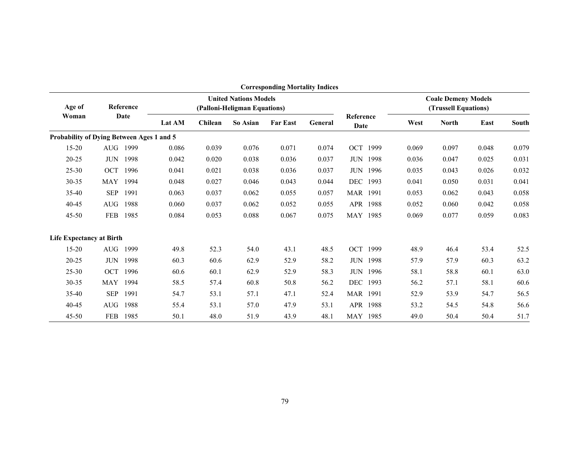|                                           | <b>Corresponding Mortality Indices</b> |           |                                                              |         |          |                 |         |                   |                 |       |                                                    |       |       |
|-------------------------------------------|----------------------------------------|-----------|--------------------------------------------------------------|---------|----------|-----------------|---------|-------------------|-----------------|-------|----------------------------------------------------|-------|-------|
| Age of                                    |                                        | Reference | <b>United Nations Models</b><br>(Palloni-Heligman Equations) |         |          |                 |         |                   |                 |       | <b>Coale Demeny Models</b><br>(Trussell Equations) |       |       |
| Woman                                     | Date                                   |           | Lat AM                                                       | Chilean | So Asian | <b>Far East</b> | General | Reference<br>Date |                 | West  | <b>North</b>                                       | East  | South |
| Probability of Dying Between Ages 1 and 5 |                                        |           |                                                              |         |          |                 |         |                   |                 |       |                                                    |       |       |
| $15 - 20$                                 |                                        | AUG 1999  | 0.086                                                        | 0.039   | 0.076    | 0.071           | 0.074   |                   | OCT 1999        | 0.069 | 0.097                                              | 0.048 | 0.079 |
| $20 - 25$                                 | <b>JUN</b>                             | 1998      | 0.042                                                        | 0.020   | 0.038    | 0.036           | 0.037   |                   | <b>JUN 1998</b> | 0.036 | 0.047                                              | 0.025 | 0.031 |
| $25 - 30$                                 | OCT                                    | 1996      | 0.041                                                        | 0.021   | 0.038    | 0.036           | 0.037   |                   | <b>JUN 1996</b> | 0.035 | 0.043                                              | 0.026 | 0.032 |
| $30 - 35$                                 | <b>MAY</b>                             | 1994      | 0.048                                                        | 0.027   | 0.046    | 0.043           | 0.044   | <b>DEC</b>        | 1993            | 0.041 | 0.050                                              | 0.031 | 0.041 |
| 35-40                                     | <b>SEP</b>                             | 1991      | 0.063                                                        | 0.037   | 0.062    | 0.055           | 0.057   | MAR 1991          |                 | 0.053 | 0.062                                              | 0.043 | 0.058 |
| $40 - 45$                                 | AUG                                    | 1988      | 0.060                                                        | 0.037   | 0.062    | 0.052           | 0.055   |                   | APR 1988        | 0.052 | 0.060                                              | 0.042 | 0.058 |
| 45-50                                     | FEB                                    | 1985      | 0.084                                                        | 0.053   | 0.088    | 0.067           | 0.075   | MAY 1985          |                 | 0.069 | 0.077                                              | 0.059 | 0.083 |
| <b>Life Expectancy at Birth</b>           |                                        |           |                                                              |         |          |                 |         |                   |                 |       |                                                    |       |       |
| $15 - 20$                                 | AUG                                    | 1999      | 49.8                                                         | 52.3    | 54.0     | 43.1            | 48.5    | <b>OCT</b>        | 1999            | 48.9  | 46.4                                               | 53.4  | 52.5  |
| $20 - 25$                                 | <b>JUN</b>                             | 1998      | 60.3                                                         | 60.6    | 62.9     | 52.9            | 58.2    |                   | <b>JUN 1998</b> | 57.9  | 57.9                                               | 60.3  | 63.2  |
| $25 - 30$                                 | <b>OCT</b>                             | 1996      | 60.6                                                         | 60.1    | 62.9     | 52.9            | 58.3    | <b>JUN</b>        | 1996            | 58.1  | 58.8                                               | 60.1  | 63.0  |
| 30-35                                     | <b>MAY</b>                             | 1994      | 58.5                                                         | 57.4    | 60.8     | 50.8            | 56.2    | <b>DEC</b>        | 1993            | 56.2  | 57.1                                               | 58.1  | 60.6  |
| $35-40$                                   | <b>SEP</b>                             | 1991      | 54.7                                                         | 53.1    | 57.1     | 47.1            | 52.4    | <b>MAR</b> 1991   |                 | 52.9  | 53.9                                               | 54.7  | 56.5  |
| 40-45                                     | <b>AUG</b>                             | 1988      | 55.4                                                         | 53.1    | 57.0     | 47.9            | 53.1    |                   | APR 1988        | 53.2  | 54.5                                               | 54.8  | 56.6  |
| $45 - 50$                                 | FEB                                    | 1985      | 50.1                                                         | 48.0    | 51.9     | 43.9            | 48.1    | MAY 1985          |                 | 49.0  | 50.4                                               | 50.4  | 51.7  |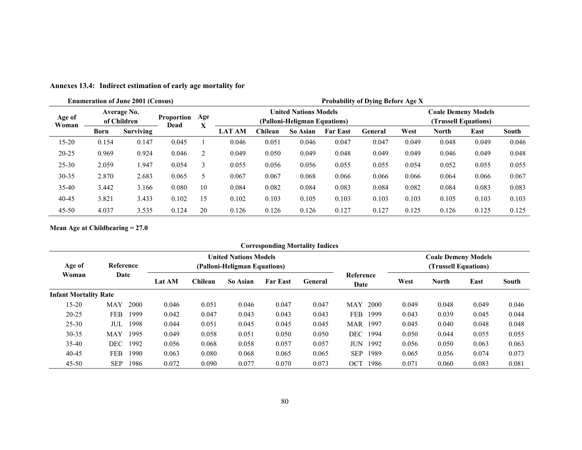|                 |       | <b>Enumeration of June 2001 (Census)</b> |                           |                | Probability of Dying Before Age X                                                                                  |         |          |                 |         |       |              |       |       |  |
|-----------------|-------|------------------------------------------|---------------------------|----------------|--------------------------------------------------------------------------------------------------------------------|---------|----------|-----------------|---------|-------|--------------|-------|-------|--|
| Age of<br>Woman |       | Average No.<br>of Children               | <b>Proportion</b><br>Dead | Age<br>v       | <b>United Nations Models</b><br><b>Coale Demeny Models</b><br>(Trussell Equations)<br>(Palloni-Heligman Equations) |         |          |                 |         |       |              |       |       |  |
|                 | Born  | Surviving                                |                           | л              | <b>LAT AM</b>                                                                                                      | ⊂hilean | So Asian | <b>Far East</b> | General | West  | <b>North</b> | East  | South |  |
| $15 - 20$       | 0.154 | 0.147                                    | 0.045                     |                | 0.046                                                                                                              | 0.051   | 0.046    | 0.047           | 0.047   | 0.049 | 0.048        | 0.049 | 0.046 |  |
| $20 - 25$       | 0.969 | 0.924                                    | 0.046                     | $\overline{2}$ | 0.049                                                                                                              | 0.050   | 0.049    | 0.048           | 0.049   | 0.049 | 0.046        | 0.049 | 0.048 |  |
| 25-30           | 2.059 | 1.947                                    | 0.054                     | 3              | 0.055                                                                                                              | 0.056   | 0.056    | 0.055           | 0.055   | 0.054 | 0.052        | 0.055 | 0.055 |  |
| 30-35           | 2.870 | 2.683                                    | 0.065                     | 5              | 0.067                                                                                                              | 0.067   | 0.068    | 0.066           | 0.066   | 0.066 | 0.064        | 0.066 | 0.067 |  |
| 35-40           | 3.442 | 3.166                                    | 0.080                     | 10             | 0.084                                                                                                              | 0.082   | 0.084    | 0.083           | 0.084   | 0.082 | 0.084        | 0.083 | 0.083 |  |
| 40-45           | 3.821 | 3.433                                    | 0.102                     | 15             | 0.102                                                                                                              | 0.103   | 0.105    | 0.103           | 0.103   | 0.103 | 0.105        | 0.103 | 0.103 |  |
| $45 - 50$       | 4.037 | 3.535                                    | 0.124                     | 20             | 0.126                                                                                                              | 0.126   | 0.126    | 0.127           | 0.127   | 0.125 | 0.126        | 0.125 | 0.125 |  |

**Annexes 13.4: Indirect estimation of early age mortality for** 

**Mean Age at Childbearing = 27.0** 

|                              |            |           |               |         |                                                              |                 | <b>Corresponding Mortality Indices</b> |                    |       |                                                    |       |              |  |  |
|------------------------------|------------|-----------|---------------|---------|--------------------------------------------------------------|-----------------|----------------------------------------|--------------------|-------|----------------------------------------------------|-------|--------------|--|--|
| Age of                       |            | Reference |               |         | <b>United Nations Models</b><br>(Palloni-Heligman Equations) |                 |                                        |                    |       | <b>Coale Demeny Models</b><br>(Trussell Equations) |       |              |  |  |
| Woman                        | Date       |           | <b>Lat AM</b> | Chilean | So Asian                                                     | <b>Far East</b> | General                                | Reference<br>Date  | West  | <b>North</b>                                       | East  | <b>South</b> |  |  |
| <b>Infant Mortality Rate</b> |            |           |               |         |                                                              |                 |                                        |                    |       |                                                    |       |              |  |  |
| $15 - 20$                    | <b>MAY</b> | 2000      | 0.046         | 0.051   | 0.046                                                        | 0.047           | 0.047                                  | 2000<br><b>MAY</b> | 0.049 | 0.048                                              | 0.049 | 0.046        |  |  |
| $20 - 25$                    | <b>FEB</b> | 1999      | 0.042         | 0.047   | 0.043                                                        | 0.043           | 0.043                                  | 1999<br>FEB        | 0.043 | 0.039                                              | 0.045 | 0.044        |  |  |
| $25 - 30$                    | JUL        | 1998      | 0.044         | 0.051   | 0.045                                                        | 0.045           | 0.045                                  | 1997<br>MAR        | 0.045 | 0.040                                              | 0.048 | 0.048        |  |  |
| $30 - 35$                    | <b>MAY</b> | 1995      | 0.049         | 0.058   | 0.051                                                        | 0.050           | 0.050                                  | DEC-<br>1994       | 0.050 | 0.044                                              | 0.055 | 0.055        |  |  |
| $35-40$                      | <b>DEC</b> | 1992      | 0.056         | 0.068   | 0.058                                                        | 0.057           | 0.057                                  | 1992<br>JUN        | 0.056 | 0.050                                              | 0.063 | 0.063        |  |  |
| $40 - 45$                    | FEB        | 1990      | 0.063         | 0.080   | 0.068                                                        | 0.065           | 0.065                                  | <b>SEP</b><br>1989 | 0.065 | 0.056                                              | 0.074 | 0.073        |  |  |
| $45 - 50$                    | SEP        | 1986      | 0.072         | 0.090   | 0.077                                                        | 0.070           | 0.073                                  | OCT<br>1986        | 0.071 | 0.060                                              | 0.083 | 0.081        |  |  |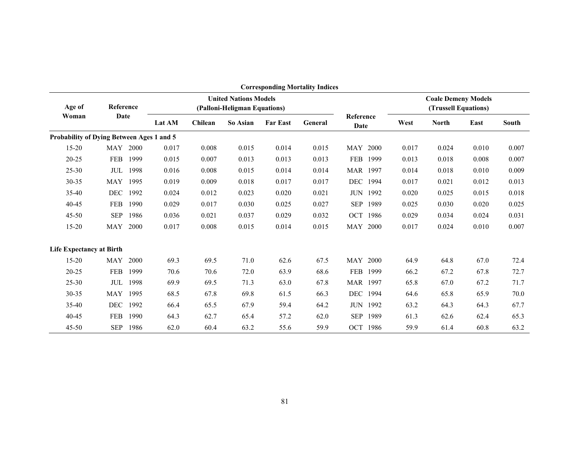|                                           |            |           |        |                                                              |          |                 | <b>Corresponding Mortality Indices</b> |                   |                 |                                                    |              |       |              |
|-------------------------------------------|------------|-----------|--------|--------------------------------------------------------------|----------|-----------------|----------------------------------------|-------------------|-----------------|----------------------------------------------------|--------------|-------|--------------|
| Age of                                    |            | Reference |        | <b>United Nations Models</b><br>(Palloni-Heligman Equations) |          |                 |                                        |                   |                 | <b>Coale Demeny Models</b><br>(Trussell Equations) |              |       |              |
| Woman                                     | Date       |           | Lat AM | Chilean                                                      | So Asian | <b>Far East</b> | General                                | Reference<br>Date |                 | West                                               | <b>North</b> | East  | <b>South</b> |
| Probability of Dying Between Ages 1 and 5 |            |           |        |                                                              |          |                 |                                        |                   |                 |                                                    |              |       |              |
| $15 - 20$                                 | <b>MAY</b> | 2000      | 0.017  | 0.008                                                        | 0.015    | 0.014           | 0.015                                  | MAY 2000          |                 | 0.017                                              | 0.024        | 0.010 | 0.007        |
| 20-25                                     | <b>FEB</b> | 1999      | 0.015  | 0.007                                                        | 0.013    | 0.013           | 0.013                                  | FEB               | 1999            | 0.013                                              | 0.018        | 0.008 | 0.007        |
| $25 - 30$                                 | JUL        | 1998      | 0.016  | 0.008                                                        | 0.015    | 0.014           | 0.014                                  | MAR 1997          |                 | 0.014                                              | 0.018        | 0.010 | 0.009        |
| 30-35                                     | <b>MAY</b> | 1995      | 0.019  | 0.009                                                        | 0.018    | 0.017           | 0.017                                  |                   | DEC 1994        | 0.017                                              | 0.021        | 0.012 | 0.013        |
| 35-40                                     | <b>DEC</b> | 1992      | 0.024  | 0.012                                                        | 0.023    | 0.020           | 0.021                                  |                   | <b>JUN 1992</b> | 0.020                                              | 0.025        | 0.015 | 0.018        |
| 40-45                                     | <b>FEB</b> | 1990      | 0.029  | 0.017                                                        | 0.030    | 0.025           | 0.027                                  | <b>SEP</b>        | 1989            | 0.025                                              | 0.030        | 0.020 | 0.025        |
| $45 - 50$                                 | <b>SEP</b> | 1986      | 0.036  | 0.021                                                        | 0.037    | 0.029           | 0.032                                  |                   | OCT 1986        | 0.029                                              | 0.034        | 0.024 | 0.031        |
| $15 - 20$                                 | <b>MAY</b> | 2000      | 0.017  | 0.008                                                        | 0.015    | 0.014           | 0.015                                  | MAY 2000          |                 | 0.017                                              | 0.024        | 0.010 | 0.007        |
| <b>Life Expectancy at Birth</b>           |            |           |        |                                                              |          |                 |                                        |                   |                 |                                                    |              |       |              |
| $15 - 20$                                 | <b>MAY</b> | 2000      | 69.3   | 69.5                                                         | 71.0     | 62.6            | 67.5                                   | MAY 2000          |                 | 64.9                                               | 64.8         | 67.0  | 72.4         |
| $20 - 25$                                 | <b>FEB</b> | 1999      | 70.6   | 70.6                                                         | 72.0     | 63.9            | 68.6                                   |                   | FEB 1999        | 66.2                                               | 67.2         | 67.8  | 72.7         |
| $25 - 30$                                 | JUL        | 1998      | 69.9   | 69.5                                                         | 71.3     | 63.0            | 67.8                                   | MAR 1997          |                 | 65.8                                               | 67.0         | 67.2  | 71.7         |
| 30-35                                     | <b>MAY</b> | 1995      | 68.5   | 67.8                                                         | 69.8     | 61.5            | 66.3                                   | <b>DEC</b>        | 1994            | 64.6                                               | 65.8         | 65.9  | 70.0         |
| $35-40$                                   | DEC        | 1992      | 66.4   | 65.5                                                         | 67.9     | 59.4            | 64.2                                   |                   | <b>JUN 1992</b> | 63.2                                               | 64.3         | 64.3  | 67.7         |
| 40-45                                     | <b>FEB</b> | 1990      | 64.3   | 62.7                                                         | 65.4     | 57.2            | 62.0                                   | <b>SEP</b>        | 1989            | 61.3                                               | 62.6         | 62.4  | 65.3         |
| $45 - 50$                                 | <b>SEP</b> | 1986      | 62.0   | 60.4                                                         | 63.2     | 55.6            | 59.9                                   |                   | OCT 1986        | 59.9                                               | 61.4         | 60.8  | 63.2         |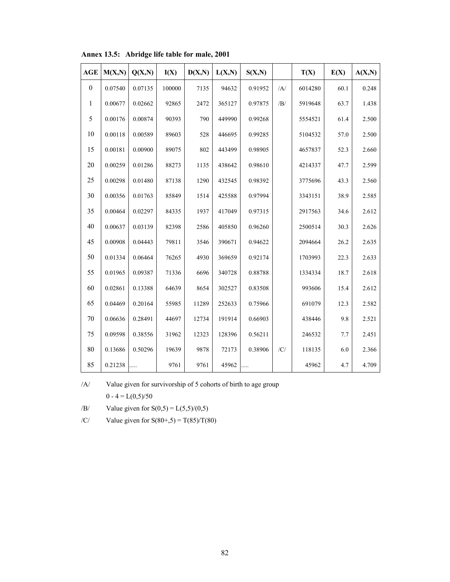| <b>AGE</b>   | M(X,N)  | Q(X,N)  | I(X)   | D(X,N) | L(X,N) | S(X,N)  |                | T(X)    | E(X) | A(X,N) |
|--------------|---------|---------|--------|--------|--------|---------|----------------|---------|------|--------|
| $\mathbf{0}$ | 0.07540 | 0.07135 | 100000 | 7135   | 94632  | 0.91952 | $\overline{A}$ | 6014280 | 60.1 | 0.248  |
| 1            | 0.00677 | 0.02662 | 92865  | 2472   | 365127 | 0.97875 | /B/            | 5919648 | 63.7 | 1.438  |
| 5            | 0.00176 | 0.00874 | 90393  | 790    | 449990 | 0.99268 |                | 5554521 | 61.4 | 2.500  |
| 10           | 0.00118 | 0.00589 | 89603  | 528    | 446695 | 0.99285 |                | 5104532 | 57.0 | 2.500  |
| 15           | 0.00181 | 0.00900 | 89075  | 802    | 443499 | 0.98905 |                | 4657837 | 52.3 | 2.660  |
| 20           | 0.00259 | 0.01286 | 88273  | 1135   | 438642 | 0.98610 |                | 4214337 | 47.7 | 2.599  |
| 25           | 0.00298 | 0.01480 | 87138  | 1290   | 432545 | 0.98392 |                | 3775696 | 43.3 | 2.560  |
| 30           | 0.00356 | 0.01763 | 85849  | 1514   | 425588 | 0.97994 |                | 3343151 | 38.9 | 2.585  |
| 35           | 0.00464 | 0.02297 | 84335  | 1937   | 417049 | 0.97315 |                | 2917563 | 34.6 | 2.612  |
| 40           | 0.00637 | 0.03139 | 82398  | 2586   | 405850 | 0.96260 |                | 2500514 | 30.3 | 2.626  |
| 45           | 0.00908 | 0.04443 | 79811  | 3546   | 390671 | 0.94622 |                | 2094664 | 26.2 | 2.635  |
| 50           | 0.01334 | 0.06464 | 76265  | 4930   | 369659 | 0.92174 |                | 1703993 | 22.3 | 2.633  |
| 55           | 0.01965 | 0.09387 | 71336  | 6696   | 340728 | 0.88788 |                | 1334334 | 18.7 | 2.618  |
| 60           | 0.02861 | 0.13388 | 64639  | 8654   | 302527 | 0.83508 |                | 993606  | 15.4 | 2.612  |
| 65           | 0.04469 | 0.20164 | 55985  | 11289  | 252633 | 0.75966 |                | 691079  | 12.3 | 2.582  |
| 70           | 0.06636 | 0.28491 | 44697  | 12734  | 191914 | 0.66903 |                | 438446  | 9.8  | 2.521  |
| 75           | 0.09598 | 0.38556 | 31962  | 12323  | 128396 | 0.56211 |                | 246532  | 7.7  | 2.451  |
| 80           | 0.13686 | 0.50296 | 19639  | 9878   | 72173  | 0.38906 | /C/            | 118135  | 6.0  | 2.366  |
| 85           | 0.21238 | .       | 9761   | 9761   | 45962  |         |                | 45962   | 4.7  | 4.709  |

**Annex 13.5: Abridge life table for male, 2001** 

/A/ Value given for survivorship of 5 cohorts of birth to age group  $0 - 4 = L(0,5)/50$ 

/B/ Value given for  $S(0,5) = L(5,5)/(0,5)$ 

/C/ Value given for  $S(80+, 5) = T(85)/T(80)$